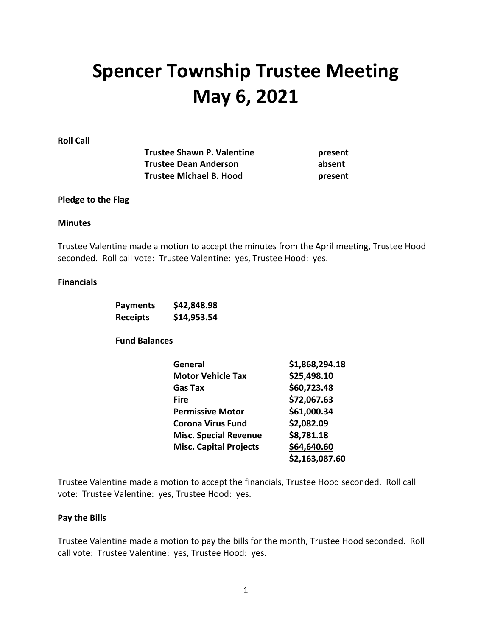# **Spencer Township Trustee Meeting May 6, 2021**

**Roll Call**

| <b>Trustee Shawn P. Valentine</b> | present |
|-----------------------------------|---------|
| <b>Trustee Dean Anderson</b>      | absent  |
| <b>Trustee Michael B. Hood</b>    | present |

### **Pledge to the Flag**

#### **Minutes**

Trustee Valentine made a motion to accept the minutes from the April meeting, Trustee Hood seconded. Roll call vote: Trustee Valentine: yes, Trustee Hood: yes.

#### **Financials**

| <b>Payments</b> | \$42,848.98 |
|-----------------|-------------|
| Receipts        | \$14,953.54 |

**Fund Balances**

| <b>General</b>                | \$1,868,294.18 |
|-------------------------------|----------------|
| <b>Motor Vehicle Tax</b>      | \$25,498.10    |
| Gas Tax                       | \$60,723.48    |
| <b>Fire</b>                   | \$72,067.63    |
| <b>Permissive Motor</b>       | \$61,000.34    |
| <b>Corona Virus Fund</b>      | \$2,082.09     |
| <b>Misc. Special Revenue</b>  | \$8,781.18     |
| <b>Misc. Capital Projects</b> | \$64,640.60    |
|                               | \$2,163,087.60 |

Trustee Valentine made a motion to accept the financials, Trustee Hood seconded. Roll call vote: Trustee Valentine: yes, Trustee Hood: yes.

## **Pay the Bills**

Trustee Valentine made a motion to pay the bills for the month, Trustee Hood seconded. Roll call vote: Trustee Valentine: yes, Trustee Hood: yes.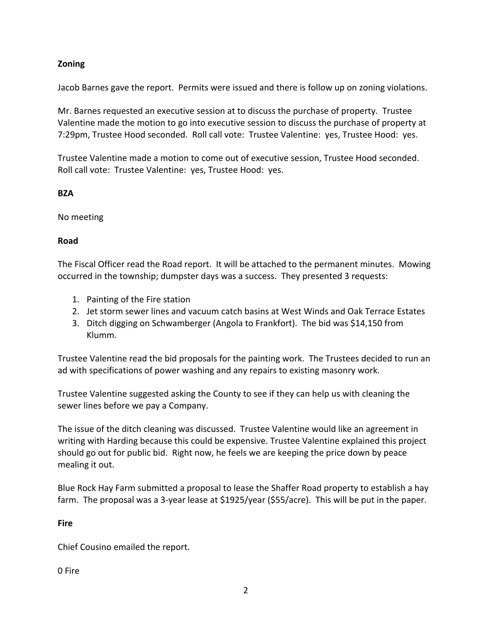# **Zoning**

Jacob Barnes gave the report. Permits were issued and there is follow up on zoning violations.

Mr. Barnes requested an executive session at to discuss the purchase of property. Trustee Valentine made the motion to go into executive session to discuss the purchase of property at 7:29pm, Trustee Hood seconded. Roll call vote: Trustee Valentine: yes, Trustee Hood: yes.

Trustee Valentine made a motion to come out of executive session, Trustee Hood seconded. Roll call vote: Trustee Valentine: yes, Trustee Hood: yes.

## **BZA**

No meeting

## **Road**

The Fiscal Officer read the Road report. It will be attached to the permanent minutes. Mowing occurred in the township; dumpster days was a success. They presented 3 requests:

- 1. Painting of the Fire station
- 2. Jet storm sewer lines and vacuum catch basins at West Winds and Oak Terrace Estates
- 3. Ditch digging on Schwamberger (Angola to Frankfort). The bid was \$14,150 from Klumm.

Trustee Valentine read the bid proposals for the painting work. The Trustees decided to run an ad with specifications of power washing and any repairs to existing masonry work.

Trustee Valentine suggested asking the County to see if they can help us with cleaning the sewer lines before we pay a Company.

The issue of the ditch cleaning was discussed. Trustee Valentine would like an agreement in writing with Harding because this could be expensive. Trustee Valentine explained this project should go out for public bid. Right now, he feels we are keeping the price down by peace mealing it out.

Blue Rock Hay Farm submitted a proposal to lease the Shaffer Road property to establish a hay farm. The proposal was a 3-year lease at \$1925/year (\$55/acre). This will be put in the paper.

## **Fire**

Chief Cousino emailed the report.

0 Fire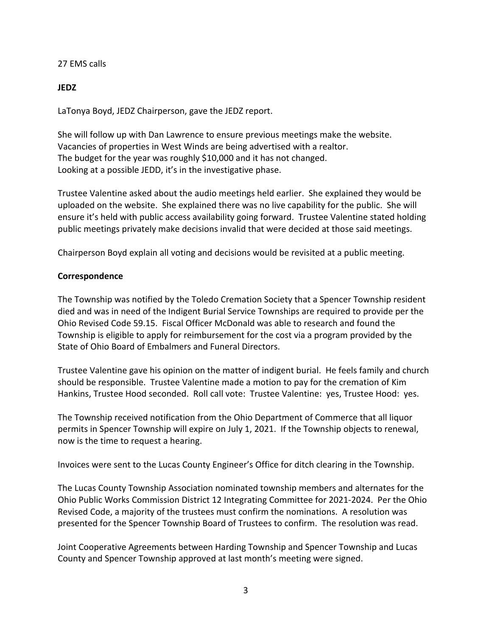27 EMS calls

**JEDZ**

LaTonya Boyd, JEDZ Chairperson, gave the JEDZ report.

She will follow up with Dan Lawrence to ensure previous meetings make the website. Vacancies of properties in West Winds are being advertised with a realtor. The budget for the year was roughly \$10,000 and it has not changed. Looking at a possible JEDD, it's in the investigative phase.

Trustee Valentine asked about the audio meetings held earlier. She explained they would be uploaded on the website. She explained there was no live capability for the public. She will ensure it's held with public access availability going forward. Trustee Valentine stated holding public meetings privately make decisions invalid that were decided at those said meetings.

Chairperson Boyd explain all voting and decisions would be revisited at a public meeting.

## **Correspondence**

The Township was notified by the Toledo Cremation Society that a Spencer Township resident died and was in need of the Indigent Burial Service Townships are required to provide per the Ohio Revised Code 59.15. Fiscal Officer McDonald was able to research and found the Township is eligible to apply for reimbursement for the cost via a program provided by the State of Ohio Board of Embalmers and Funeral Directors.

Trustee Valentine gave his opinion on the matter of indigent burial. He feels family and church should be responsible. Trustee Valentine made a motion to pay for the cremation of Kim Hankins, Trustee Hood seconded. Roll call vote: Trustee Valentine: yes, Trustee Hood: yes.

The Township received notification from the Ohio Department of Commerce that all liquor permits in Spencer Township will expire on July 1, 2021. If the Township objects to renewal, now is the time to request a hearing.

Invoices were sent to the Lucas County Engineer's Office for ditch clearing in the Township.

The Lucas County Township Association nominated township members and alternates for the Ohio Public Works Commission District 12 Integrating Committee for 2021-2024. Per the Ohio Revised Code, a majority of the trustees must confirm the nominations. A resolution was presented for the Spencer Township Board of Trustees to confirm. The resolution was read.

Joint Cooperative Agreements between Harding Township and Spencer Township and Lucas County and Spencer Township approved at last month's meeting were signed.